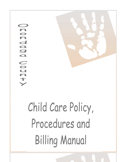$\overline{\mathbf{a}}$ 

# Child Care Policy, Procedures and **Billing Manual**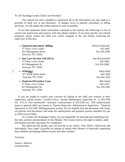To All Onondaga County Child Care Providers:

This manual has been compiled to summarize all of the information you may need as a provider of child care in one document. If changes occur to policies, procedures or billing processes, we will update this online manual as soon as possible.

If you have questions about information contained in this manual, the following is a list of current unit supervisors and contacts with their phone numbers. If you have specific case-related questions, please contact the child care worker assigned to the case before contacting the supervisor of that area.

| $\Rightarrow$ Financial Operations -Billing<br>4 <sup>th</sup> Floor, Civic Center<br>421 Montgomery Street<br>Syracuse, NY 13202 | Theresa Dimovski<br>435-2947<br>Fax 435-3590  |
|-----------------------------------------------------------------------------------------------------------------------------------|-----------------------------------------------|
| $\Rightarrow$ Day Care Services Unit (DCS)<br>5 <sup>th</sup> Floor, Civic Center<br>421 Montgomery St<br>Syracuse, NY 13202      | Ann Ricciardiello<br>435-5683<br>Fax 435-5682 |
| $\Rightarrow$ JOBSplus!<br>677 South Salina Street<br>Syracuse, NY 13202                                                          | Julius Hefti<br>442-3242<br>Fax 442-3254      |
| $\Rightarrow$ Protective/Preventive Cases<br>5 <sup>th</sup> Floor, Civic Center<br>421 Montgomery St<br>Syracuse, NY 13202       | Bill Glaski<br>435-2163<br>Fax 435-2465       |

If you are unable to resolve your concerns by talking to the child care workers or their supervisors, please contact Cecelia Ciocca –Income Maintenance Supervisor II- at 435-2700 ext. 7513 or Ava Kerznowski -Assistant Commissioner at 435-2700 ext. 7550 (authorization issues or general child care issues) or Theresa Dimovski- Administrative Supervisor – Financial Operations at 435-2947 (billing/payment issues). We are hopeful that this document will clarify our policies and procedures, and make the authorization and payment process smoother for you as child care providers.

As a vendor for Onondaga County, you are responsible for knowing and complying with the rules, policies and procedures in this Manual. The County reserves the right to inspect, audit and monitor provider operations for compliance.

We appreciate the quality care you provide to our clients. Your efforts, collectively and individually, have made it possible for parents to realize their dreams in financially supporting their children and helping children remain with their families.

Sincerely,

Sarah G. Merrick Commissioner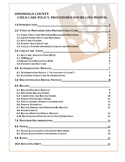# **ONONDAGA COUNTY CHILD CARE POLICY, PROCEDURES AND BILLING MANUAL**

| <b>1.0 INTRODUCTION</b>                                                                                                                                                                                                                                                                                                                                                                                                            | 3                                                      |
|------------------------------------------------------------------------------------------------------------------------------------------------------------------------------------------------------------------------------------------------------------------------------------------------------------------------------------------------------------------------------------------------------------------------------------|--------------------------------------------------------|
| 2.0 TYPES OF PROVIDERS WHO PROVIDE CHILD CARE                                                                                                                                                                                                                                                                                                                                                                                      | $\mathbf{3}$                                           |
| <b>2.1 FAMILY DAY CARE PROVIDERS/REGISTERED PROVIDERS</b><br><b>2.2 GROUP FAMILY DAY CARE PROVIDERS</b><br><b>2.3 DAY CARE CENTERS</b><br><b>2.4 SCHOOL-AGE CHILD CARE</b><br>2.5 LEGALLY EXEMPT (INFORMAL) CHILD CARE PROVIDERS                                                                                                                                                                                                   | 3                                                      |
| 3.0 CHILD CARE UNITS                                                                                                                                                                                                                                                                                                                                                                                                               | 5                                                      |
| 3.1 DAY CARE SERVICES UNIT (DCS)<br>3.2 JOBSPLUS!<br>3.3 PROTECTIVE/PREVENTIVE (P/P)<br><b>3.4 FOSTER CARE DAY CARE</b>                                                                                                                                                                                                                                                                                                            | 5<br>6<br>6<br>7                                       |
| <b>4.0 AUTHORIZATION PROCESS</b>                                                                                                                                                                                                                                                                                                                                                                                                   | 7                                                      |
| <b>6.1 AUTHORIZATION NOTICE ("ACCEPTANCE LETTER")</b><br><b>6.2 EXTENDING CHILD CARE AUTHORIZATIONS</b>                                                                                                                                                                                                                                                                                                                            | 7<br>8                                                 |
| <b>5.0 DISCONTINUANCE/DENIAL NOTICES</b>                                                                                                                                                                                                                                                                                                                                                                                           | 8                                                      |
| 6.0 BILLING COMMENT CONTINUES.                                                                                                                                                                                                                                                                                                                                                                                                     |                                                        |
| <b>6.1 BILLING/PAYMENT PROCESS</b><br><b>6.2 OBTAINING BILLING FORMS</b><br><b>6.3 COMPLETING THE BILLING FORMS</b><br><b>6.4 PARENT FEES/FAMILY SHARE</b><br><b>6.5 NON-CUSTODIAL PARENT CONTRIBUTION</b><br><b>6.6 PARTIAL PAYMENTS</b><br><b>6.7 BILLING ERRORS AND OMISSIONS/RE-BILLING</b><br><b>6.8 OVERPAYMENTS</b><br><b>6.9 BILLING DISPUTES/APPEAL PROCESS</b><br><b>6.10 REGISTRATION FEES/ACTIVITY FEES/OTHER FEES</b> | 9<br>9<br>10<br>11<br>12<br>12<br>12<br>12<br>12<br>13 |
|                                                                                                                                                                                                                                                                                                                                                                                                                                    | 13                                                     |
| <b>8.1 FRAUD ALLEGATIONS CONCERNING PROVIDERS</b><br><b>8.2 FRAUD ALLEGATIONS CONCERNING CLIENTS</b>                                                                                                                                                                                                                                                                                                                               | 13<br>14                                               |
|                                                                                                                                                                                                                                                                                                                                                                                                                                    | 14                                                     |
|                                                                                                                                                                                                                                                                                                                                                                                                                                    | 15                                                     |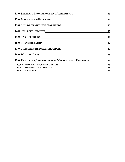| 11.0 SEPARATE PROVIDER/CLIENT AGREEMENTS                    | 15        |
|-------------------------------------------------------------|-----------|
|                                                             | 15        |
|                                                             | 15        |
|                                                             | 16        |
|                                                             | 16        |
| 16.0 TRANSPORTATIONNALL CONTRACTED AND TRANSPORTATION       | <b>17</b> |
| <b>17.0 TRANSFERS BETWEEN PROVIDERS</b>                     | 17        |
|                                                             | 18        |
| <b>19.0 RESOURCES, INFORMATIONAL MEETINGS AND TRAININGS</b> | <b>18</b> |
| <b>19.1 CHILD CARE RESOURCE CONTACTS</b>                    | 18        |
| <b>19.2 INFORMATIONAL MEETINGS</b>                          | 18        |
| 19.3 TRAININGS                                              | 19        |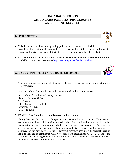# **ONONDAGA COUNTY CHILD CARE POLICIES, PROCEDURES AND BILLING MANUAL**

# **1.0 INTRODUCTION**

- This document constitutes the operating policies and procedures for all child care providers who provide child care and receive payment for child care services through the Onondaga County Department of Social Services-Economic Security (OCDSS-ES).
- OCDSS-ES will have the most current *Child Care Policies, Procedures and Billing Manual* available on OCDSS-ES website at<http://www.ongov.net/dss/dayCare.html>

# **2.0 TYPES OF PROVIDERS WHO PROVIDE CHILD CARE**

The following are the types of child care providers covered by this manual and a list of child care resources.

Note: for information or guidance on licensing or registration issues, contact:

NYS Office of Children and Family Services Syracuse Regional Office The Atrium 100 S. Salina Street, Suite 350 Syracuse, NY 13202 (315) 423-1202

## **2.1 FAMILY DAY CARE PROVIDERS/REGISTERED PROVIDERS**

Family Day Care Providers care for up to six children at a time in a residence. They may add one to two school-age children with approval of their Registrar (maximum allowable number includes the provider's own children who have not yet entered kindergarten). There must be at least one provider present for every two children under two years of age. Capacity must be approved by the provider's Registrar. Registered providers may provide overnight care as long as they are in compliance with New York State Regulations 417.3(c), 417.7(a), and 417.8(a). The local Registrar, Child Care Solutions, works under the auspices of the New York State Office of Children & Family Services.

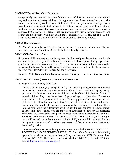## **2.2 GROUP FAMILY DAY CARE PROVIDERS**

Group Family Day Care Providers care for up to twelve children at a time in a residence and may add up to four school-age children with approval of their Licensor (maximum allowable number includes the provider's own children who have not yet entered kindergarten). A provider must use an assistant when more than eight children are present and there must be at least one provider present for every two children under two years of age. Capacity must be approved by the provider's Licensor. Licensed providers may provide overnight care as long as they are in compliance with New York State Regulations 416.3(c), 416.7(a), and 416.8(a). They are licensed by the New York State Office of Children & Family Services.

## **2.3 DAY CARE CENTERS**

Day Care Centers are licensed facilities that provide care for more than six children. They are licensed by the New York State Office of Children & Family Services.

## **2.4 SCHOOL-AGE CHILD CARE**

School-age child care programs are in registered facilities and provide care for more than six children. They, generally, serve school-age children from kindergarten through age 12 and care for children during non-school hours. They also may provide care during school vacation periods and holidays. The local Registrar, Child Care Solutions, works under the auspices of the New York State Office of Children & Family Services.

## **Note: OCDSS-ES does not pay for universal pre-kindergarten or Head Start programs.**

## **2.5 LEGALLY EXEMPT (INFORMAL) CHILD CARE PROVIDERS**

## A. Legally Exempt Family Child Care

These providers are legally exempt from day care licensing or registration requirements but must meet minimum state and county health and safety standards. Legally exempt providers care for one or two unrelated children outside of the child's home or for up to 8 related children. They must be at least 18 years of age, or if less than 18 meet the requirement for the employment of minors. They may provide care for more than two children if it is three hours a day or less. They may be a relative of the child in care, except when they are legally responsible or a caretaker relative of the child(ren). Please note that while other individuals may have been listed in your application as being present at your child care location, you are the person authorized to care for the subsidized child(ren). You, as the authorized provider, must be present and supervising at all times. Employees, volunteers and household members CANNOT substitute for you in caring for the child(ren) and cannot be left alone with the child(ren). Any bill submitted for time during which the authorized provider is not present will be subject to administrative and health/safety review.

To receive subsidy payments these providers must be enrolled AND AUTHORIZED TO RECEIVE DAY CARE SUBSIDY PAYMENTS. Child Care Solutions is the enrolling agency for providers in Onondaga County. They are located at 6724 Thompson Road, Syracuse, NY 13211. They can be reached at: telephone 446-1220, FAX 446-2010 or email [CCS@ childcaresolutionscny.org.](mailto:CCS@childcaresyracuse.org)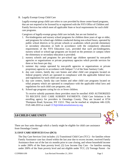B. Legally Exempt Group Child Care

Legally-exempt group child care refers to care provided by those center-based programs, that are not required to be licensed by or registered with the NYS Office of Children and Family Services but which meet all applicable State or local requirements for such child care programs.

Caregivers of legally-exempt group child care include, but are not limited to:

- 1. Pre-kindergarten and nursery school programs for children three years of age or older, and programs for school-age children conducted during non-school hours, operated by public school districts or by private schools or academies which provide elementary or secondary education or both in accordance with the compulsory education requirements of the NYS Education Law, provided that such pre-kindergarten, nursery school or school-age programs are located on the premises or campus where the elementary or secondary education is provided;
- 2. nursery schools and programs for pre-school age children operated by non-profit agencies or organizations or private proprietary agencies which provide services for three or less hours per day;
- 3. summer day camps operated by non-profit agencies or organizations or private proprietary agencies in accordance with Subpart 7-2 of the State Sanitary Code;
- 4. day care centers, family day care homes and other child care programs located on federal property which are operated in compliance with the applicable federal laws and regulations for such child care programs;
- 5. day care centers, family day care homes and other child care programs located on tribal property which are operated in compliance with the applicable tribal laws and regulations for such child care programs; and,
- 6. School-age programs caring for six or fewer children.

To receive subsidy payments these providers must be enrolled AND AUTHORIZED TO RECEIVE DAY CARE SUBSIDY PAYMENTS. Child Care Solutions is the enrolling agency for providers in Onondaga County. They are located at 6724 Thompson Road, Syracuse, NY 13211. They can be reached at: telephone 446-1220, FAX 446-2010 or e-mail [CCS@childcaresolutionscny.org.](mailto:CCS@childcaresyracuse.org)

# **3.0 CHILD CARE UNITS**



There are four units through which a family might be eligible for child care assistance from Onondaga County:

# **3.1 DAY CARE SERVICES UNIT (DCS)**

The Day Care Services Unit includes: (1) Transitional Child Care (TCC) - for families whose Family Assistance case has closed within the last year due to excess income, received Family Assistance three out of the last six months prior to case closing, and whose household income is under 200% of the State poverty level; (2) Low Income Day Care - for families earning under 200% of the State poverty level and not eligible under TCC; (3) Teenage Parent - for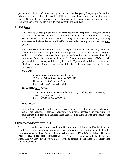parents under the age of 19 and in high school; and (4) Temporary Incapacity - for families where there is medical verification that child care is needed and whose household income is under 200% of the federal poverty level. Furthermore the parent/guardian must have been employed and is expected to return to employment within 30 days.

# **3.2 JOBS***PLUS!*

JOBS*plus!* is Onondaga County's Temporary Assistance's employment program which is a partnership between Onondaga Community College and the Onondaga County Department of Social Services-Economic Security. Anyone who is receiving Temporary Assistance and who is deemed employable is mandated to participate with the JOBS*plus!* program.

Most jobseekers begin working with JOBS*plus!* immediately when they apply for Temporary Assistance. As applicants, if employment is in place or is found, JOBS*plus!*  will work with clients to meet their day care needs within the parameters allowed by regulation. From the time of application for Temporary Assistance, JOBS*plus!* will provide child care for any activities required by JOBS*plus!* until full-time employment is obtained. At that point, child care responsibility is usually transitioned to the Day Care Services Unit.

# **Main Office:**

 Rosamond Gifford Learn to Work Center, 677 South Salina Street, Syracuse, NY 13202 Hours: M – F, 8:00 am – 4:00 pm Phone: 442-3242 Fax: 442-3254

# **Other JOBS***plus!* **Offices:**

• Civic Center: TA/FS Intake/Application Unit,  $2<sup>nd</sup>$  Floor, 421 Montgomery Street, Syracuse, NY 13202 Phone: 435-2700 Fax: 435-3599

# **Who to Call:**

Any problem related to child care issues may be addressed to the individual participant's Child Care Assistance Technical Assistant. If you cannot resolve your issue with their help contact the Supportive Services Team Leader, Julius Hefti (located at the main office at 442-3242 ext. 1117).

# **3.3 PROTECTIVE/PREVENTIVE (P/P)**

These cases involve families serviced by the Department of Children and Family Services - Child Protective or Preventive programs, whose children are not in foster care and where the child care is part of their "approved child welfare plan." **DAY CARE SERVICES ARE AUTHORIZED BY THIS DEPARTMENT.** This Department will ask that Child Care Form-Title XX Preventive/Protective Cases Only be completed. For these cases, Parent Fees are not applicable.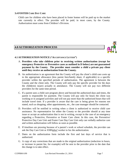## **3.4 FOSTER CARE DAY CARE**

Child care for children who have been placed in foster homes will be paid up to the market rate currently in effect. The provider will be paid, in most cases, by the County. Authorization must come from Children's Division.

# **4.0 AUTHORIZATION PROCESS**



# **4.1 AUTHORIZATION NOTICE ("ACCEPTANCE LETTER")**

- A. **Providers who take children prior to receiving written authorization (except for emergency Protective or Preventive cases as outlined in D below) are not guaranteed payment by the County. The provider must consider a child a private pay client until they receive an authorization from the County.**
- B. An authorization is an agreement that the County will pay the client's child care costs up to the appropriate allowance (less parent fees/family share, if applicable) to a specific provider within the specified periods of authorization. The agreement is between the County and the client only. The County will only pay the specific provider for the days the child(ren) is(are) actually in attendance. The County will not pay two different providers for the same time period.
- C. If a parent uses a child care program above and beyond the authorized days and times, the parent is responsible for payment. The County will pay only for hours the client was working or in assigned activities and will not pay more than the authorized hours that will include travel time. If a provider is aware that the care is being given for reasons not stated, such as shopping, other appointments, etc., the case manager should be contacted.
- D. Providers will be notified in writing when a client is authorized to receive child care assistance. No representative for either the County or the provider should at any time issue or accept an authorization that is not in writing, except in the case of an emergency regarding a Protective, Preventive or Foster Care client. In this case, the Preventive/ Protective Day Care Unit and Foster Care Day Care Unit only can verbally authorize care and written authorization will follow as soon as possible.
- E. If timelines are pressing because of a parent's work or school schedule, the provider can ask the Day Care Unit or JOBS*plus!* worker to fax the authorization.
- F. Dates on the authorization form include the first and last days of service that is authorized.
- G. A copy of any corrections that are made to the original authorization (reduction in hours, or increase in parent fee, for example) will be sent to the provider prior to the date that the change is to take effect.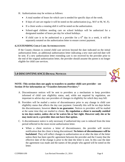- H. Authorizations may be written as follows:
	- A total number of hours for which care is needed for specific days of the week.
	- If days of care are regular it will be noted on the authorization (e.g.,  $M-F$  or  $M$ ,  $W$ ,  $F$ ).
	- If a client works a rotating shift it will be noted on the authorization.
	- School-aged children needing care on school holidays will be authorized for a designated number of hours per day for school holidays.
	- If child care is to be authorized to a provider for a  $6<sup>th</sup>$  day in a week, it will be separately notated on the authorization letter to ensure correct payment.

## **4.2 EXTENDING CHILD CARE AUTHORIZATIONS**

If the County chooses to extend child care services beyond the date indicated on the initial authorization letter, an additional authorization letter indicating a new start and end date will be sent. If a new authorization letter extending care is not received by the provider prior to the end of the original authorization letter, the provider should assume the parent is no longer eligible for child care services.

# **5.0 DISCONTINUANCE/DENIAL NOTICES**



## **NOTE: This section does not apply to transfers to another child care provider - see Section 19 for information on "Transfers between Providers."**

- A. Discontinuance notices will be sent to providers as a mechanism to keep providers informed of child care eligibility status, and, while not required by regulation, are important to advise day care providers of changes in eligibility for which they may bill.
- B. Providers will be mailed a notice of discontinuance prior to any change in child care eligibility status that affects the day care payment. Generally this will be ten days before the discontinuance, however **there is no guarantee**. Notices to providers will be mailed at the same time they are mailed to clients. **By regulation a client is normally entitled to ten days notice, unless she or he waives his or her right. However only she or he may insist on it; a provider does not have that option.**
- C. A discontinuance notice is only necessary if authorized day care is reduced from the time period reflected in the most recent authorization letter.
	- When a client receives a letter of discontinuance, the provider will receive notification that the client is being discontinued. **No letters of discontinuance will be backdated**. They will reflect changes to authorization on or after the date of the letter unless there has been specific agreement between the provider and the County that the effective date of the change is prior to the date the letter is sent. In this case the date the agreement was made and the names of the people who agreed will be noted on the letter.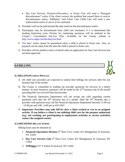- Day Care Services, Protective/Preventive, or Foster Care will send a "disregard discontinuance" notice if the client corrects the problem that caused them to receive discontinuance notice. JOBS*plus!* And Foster Care Child Care will send a new authorization notice if care is to be continued.
- D. Providers will not be paid beyond the date noted on the discontinuance notice.
- E. Participants may be discontinued from child care assistance if it is determined that funding limitations exist. Priority for continuing assistance will be outlined in the County's Consolidated Services Plan. Available on the County website at <http://www.ongov.net/dss/dayCare.html>
- F. Ten days' notice cannot be guaranteed when a child is placed in foster care. Also, no payment can be made from the time the child is placed in foster care.
- G. Providers will be mailed a notice of denial when an application for Day Care Services has not been approved.

# **6.0 BILLING**

## **6.1 BILLING/PAYMENT PROCESS**

- A. All child care providers are expected to submit their billings for services after the last business day of the month.
- B. The County is committed to sending out provider payments for services in a timely manner. In most instances, payments will be made by the  $15<sup>th</sup>$  business day of the month providing bills are received from the provider.
- C. The Financial Operations Department will not accept any calls regarding current payments until after the  $10<sup>th</sup>$  business day of a month. After the  $10<sup>th</sup>$  business day, a provider with questions may call the Financial Operations Department between 11:00 am - 12:00 pm and 2:00 - 4:00 pm at 435-2947.
- D. **Important: Providers may only bill for days a client worked or was in an assigned activity. If you believe a client is not utilizing child care for the purpose authorized (e.g., not working, not participating in employment activities or service activities) contact the assigned worker.**

## **6.2 OBTAINING BILLING FORMS**

Billing forms may be obtained at:

- 1. **Financial Operations Division** 4<sup>th</sup> floor Civic Center 421 Montgomery St Syracuse, NY 13202
- 2. Day Care Services Unit 5<sup>th</sup> floor Civic Center 421 Montgomery St. Syracuse, NY 13202
- 3. **JOBS***plus!* 677 S Salina St Syracuse, NY 13202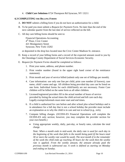4. **Child Care Solutions** 6724 Thompson Rd Syracuse, NY 13211

#### **6.3 COMPLETING THE BILLING FORMS**

- A. **DO NOT** submit a billing form if you do not have an authorization for a child.
- B. To be paid you must submit a *Request for Payment Form.* No later than the end of the next calendar quarter from the last date of service reflected on the bill.
- C. All day care billing forms should be sent to:

Financial Operations-Accounting 4<sup>th</sup> Floor, Civic Center 421 Montgomery Street Syracuse, New York 13202

or deposited in the drop box located near the Civic Center Madison St. entrance.

- D. Keep a record of your billing forms and a record of the expected amount owed to you by the Onondaga County Department of Social Services-Economic Security.
- E. *Request for Payment Forms* should be completed as follows:
	- 1. Print your name, address, and phone number.
	- 2. Print vendor number (found in the upper right hand corner of the remittance statement).
	- 3. Print month and year of service billed (submit only one set of billings per month).
	- 4. Case information: use only one line per child, print case number (if known), case name, child's name and age. All children being provided day care can be listed on one form. Individual forms for each child/family are not necessary. Foster Care children will be billed on the same form as all other children.
	- 5. Licensed/registered providers fill in the actual number of hours of service provided by listing the actual times the child arrived and left care each day. Legally exempt/informals must enter start and end times.
	- 6. If a child is authorized for care before and after school plus school holidays and is in attendance for a full day that is not a school holiday the provider must include an explanation as to why the child is in care and not in school (e.g., sick).
	- 7. Compute billing charges. (OCDSS-ES Financial Operations will complete the OCDSS-ES only section; however, you may complete the provider section for your own benefit.)
		- Using appropriate weekly, daily, part-day, or hourly rates, calculate the total charge.

*Note: When a month ends in mid-week, the daily rate is used for each day in the beginning of the week that falls in the month being paid (if the hours total 30 or more the weekly rate would be used). The next month if in the remainder of the week the child ends up reaching 30 hours for the week then the weekly rate is applied. From the weekly amount, the amount already paid the previous month is subtracted out. A week is defined as starting on Monday and ending on Sunday.*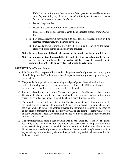*If the hours that fall in the first month are 30 or greater, the weekly amount is paid. Any remaining days in the next month will be ignored since the provider has already received payment for that week.* 

- Deduct the parent fee.
- Deduct any contribution from a non-custodial parent.
- Final total is the Social Service Charge. (The expected amount from OCDSS-ES.)
- 8. (a) For licensed/registered providers: sign and date bill (unsigned bills will be returned for signature, thus delaying payment).
	- (b) For legally exempt/informal providers the bill must be signed by the parent along with being signed and dated by the provider

## **Note: Do not submit your bill until all service for the month has been completed.**

## **Note: Incomplete, unsigned, unreadable bills and bills that are submitted before all service for the month has been provided will be returned. Example: a bill submitted on 5/27 with an entry for 5/28 would be returned.**

#### **6.4 PARENT FEES/FAMILY SHARE**

- A. It is the provider's responsibility to collect the parent fee/family share, and to notify the client if the parent fee/family share is late. The parent fee/family share is paid directly to the provider.
- B. The provider is responsible for maintaining a ledger of parent fees and family shares collected, showing date received and amount received for each child, as well as the method by which paid(i.e., cash or check with check number)
- C. Providers should send notice to the County if the parent fee/family share is late, and the County will either work with the client to adjust his or her budget and parent fee/family share if an error has been made, or send the client a discontinuance notice.
- D. The provider is responsible for notifying the County of any late parent fee/family share. In the event that the provider fails to notify the County of late parent fees/family shares, and the client wishes to transfer to another provider, the maximum the client will be required to pay prior to transferring to another provider will be the parent fee/family share owed, or \$250, whichever is less. Any remaining balance would be a private matter between the provider and the client.
- E. The parent fee/family share is deducted on a weekly basis (Monday Sunday). The parent fee/family share is subtracted from the amount paid each week. If the parent fee/family share exceeds the payment for one child the remainder is applied to any siblings in care. No excess parent fee/family share is carried over to the next week. In split week situations any remaining parent fee/family share will be applied to any additional payments that fall in the next month.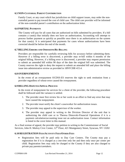## **6.5 NON-CUSTODIAL PARENT CONTRIBUTION**

Family Court, or any court which has jurisdiction on child support issues, may order the noncustodial parent to pay toward the cost of child care. The child care provider will be informed of the non-custodial parent's contribution on the authorization letter.

## **6.6 PARTIAL PAYMENTS**

The County will pay for all cases that are authorized on bills submitted by providers. If a bill contains a case(s) that initially does not have an authorization, Accounting will attempt to process further payment as quickly as possible once there is an authorization on the system for that case(s). It is anticipated that payments for cases whose authorizations have been corrected should be before the end of the month.

## **6.7 BILLING ERRORS AND OMISSIONS/RE-BILLING**

Providers are responsible for carefully reviewing bills for accuracy before submitting them. However if a billing error is discovered, a provider may re-bill within 6 months of the original billing. However, if a billing error is discovered, a provider may request permission to submit an amended bill within 90 days of the date the original bill was submitted. The County reserves the right to deny the request to submit an amended bill and place the billing issue into administrative review as provided in 18NYCRR 415.4.

## **6.8 OVERPAYMENTS**

In the event of an overpayment OCDSS-ES reserves the right to seek restitution from a provider regardless of whose error caused the overpayment.

## **6.9 BILLING DISPUTES/APPEAL PROCESS**

In the event of nonpayment for services for a client of the provider, the following procedure shall be followed until the variance is settled.

- 1. The provider must first review his or her work in an effort to find any error that may have caused the nonpayment.
- 2. The provider must notify the client's caseworker for authorization issues.
- 3. The provider may appeal to the supervisor of the worker.
- 4. The provider may appeal in writing to the Division Director of the unit that is authorizing the child care or to Theresa Dimovski-Financial Operations if it is a payment calculation/accounting issue not an authorization issue. Contact information is listed in the cover letter to this manual.

As a final avenue of appeal, the provider may petition in writing to the Commissioner of Social Services, John H. Mulroy Civic Center, 12<sup>th</sup> Floor, 421 Montgomery Street, Syracuse, NY 13202

# **6.10 REGISTRATION FEES/ACTIVITY FEES/OTHER FEES**

 Registration fees will be paid only to Day Care Centers. The County may pay a registration fee if it is charged as a *one-time only* fee and then only once per center per child. Registration fees may only be charged to the County if they are also charged to private pay parents/caretakers.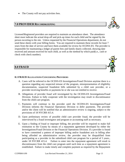The County will not pay activities fees.

# **7.0 PROVIDER RECORDKEEPING**



Licensed\Registered providers are required to maintain an attendance sheet. The attendance sheet must indicate the actual drop-off and pick-up times for each child and be signed by the person escorting to the site. Unless requested by the Financial Operations department, do not send these sheets with your billing forms. You are required to maintain these records for least 7 years from the date of service and have them available for review by OCDSS-ES. The provider is responsible for maintaining a ledger pf parent fees and family shares collected, showing date received and amount received for each child, as well as the method by which paid(i.e., cash or check with check number).

# **8.0 FRAUD**

# **8.1 FRAUD ALLEGATIONS CONCERNING PROVIDERS**

- A. Cases will be referred to the OCDSS-ES Investigations/Fraud Division anytime there is a question regarding any suspected misuse of the program, misrepresentation of eligibility documentation, suspected fraudulent bills submitted by a child care provider, or a provider receiving benefits or payments he or she was not entitled to receive.
- B. Allegations of provider fraud will investigated by the OCDSS-ES Investigations/Fraud Division. Failure to fully cooperate with the investigation may result in discontinuance from the child care program.
- C. Payments will continue to the provider until the OCDSS-ES Investigations/Fraud Division informs the Financial Operations Division to defer payments. The provider and/or the client will be notified that an administrative review is ongoing, subject to the provisions of 18 NYCRR 415.4.
- D. Upon preliminary review of possible child care provider fraud, the provider will be interviewed by a fraud investigator and program or accounting staff as necessary.
- E. Upon a finding of fraud or improper billing, the provider will be required to make full restitution to the County by means of a repayment agreement developed by either the Investigations/Fraud Division or the Financial Operations Division. If a provider is found to have committed a pattern of improper billing and/or fraudulent acts in billing after being afforded an administrative review, the provider may be disqualified from participating as a provider in the subsidized child care program for a period of 5 years., under 18 NYCRR 415.4. Failure to enter into the repayment agreement will result in discontinuance from the child care program until such time as a repayment agreement is established. Failure to make timely and complete payment as required by the Repayment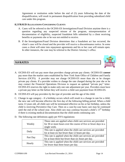Agreement or restitution order before the end of (5) years following the date of the disqualification, will result in permanent disqualification from providing subsidized child care under this program.

## **8.2 FRAUD ALLEGATIONS CONCERNING CLIENTS**

- A. Cases will be referred to the OCDSS-ES Investigations/Fraud Division anytime there is a question regarding any suspected misuse of the program, misrepresentation of documentation of eligibility, suspected fraudulent bills submitted by a client receiving benefits or payments she or he was not entitled to receive.
- B. If the Investigations/Fraud Division determines that a fraudulent act has occurred, the client's case will be closed and the provider will receive a discontinuance notice. In some cases a client will enter into repayment agreements and his or her case will remain open. In other instances, the case may be referred to the District Attorney's office.

# **9.0 RATES**

- A. OCDSS-ES will not pay more than providers charge private pay clients. OCDSS-ES *cannot* pay more than the market rates established by New York State Office of Children and Family Services (OCFS). A provider may not charge OCDSS-ES more than she or he charges private pay clients. If a provider wishes to change the rate charged during the year she or he may contact the Financial Operations Division to request an updated "private pay" letter. OCDSS-ES reserves the right to make only one rate adjustment per year. Providers must have a private pay letter on file before they will receive a child care payment from OCDSS-ES.
- B. OCDSS-ES will pay providers by the type of provider and the age of the child.
- C. Change in age category if a birthday occurs which will result in a change in rate for a child, the new rate will become effective the first day of the following billing period. When a child turns 13 years old, all child care will be terminated effective on his or her birthday, unless the child is receiving Preventive Day Care. Then on a case-by-case basis care may be continued until the end of the school year. Also child care may continue beyond a child's 13<sup>th</sup> birthday if there is existing medical documentation that the child needs continuing care.

| Weekly   | These rates are applied when child care services are provided<br>for 30 or more hours over the course of five or fewer days in a<br>single week. |
|----------|--------------------------------------------------------------------------------------------------------------------------------------------------|
| Daily    | This rate is applied when the child care services are provided<br>for at least six but fewer than 12 hours per day.                              |
| Part Day | This rate is applied when the child care services are provided<br>for at least three but fewer than six hours per day.                           |
| Hourly   | This rate is applied when the child care services are provided<br>for fewer than three hours per day.                                            |

D. The following rate definitions apply per NYS regulations: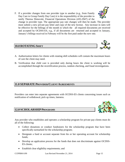F. If a provider changes from one provider type to another (e.g., from Family Day Care to Group Family Day Care) it is the responsibility of the provider to notify Theresa Dimovski, Financial Operations Division (435-2947) of the

change in provider type. The appropriate pay rate changes will then be made. The provider must submit a new private pay letter and copy of the new license. Any increase in rates will be effective for the billings of the month in which the all required documents are received and accepted by OCDSS-ES, e.g., if all documents are returned and accepted in January, January's billings received in February will be the first paid under the new rate.

# **10.0 ROTATING SHIFT**

- A. Authorization letters for clients with rotating shift schedules will contain the maximum hours of care the client may need.
- B. Verification that child care is provided only during hours the client is working will be accomplished through the recertification process, random checking, and fraud investigations.

# **11.0 SEPARATE PROVIDER/CLIENT AGREEMENTS**

Providers can enter into separate agreements with OCDSS-ES clients concerning issues such as notification of withdrawal, pick up times, lateness.

# 12.0 **SCHOLARSHIP** PROGRAMS

Any provider who establishes and operates a scholarship program for private pay clients must do all of the following:

- Collect donations or conduct fundraisers for the scholarship program that have been specifically earmarked for the scholarship program;
- Designate a fund or account separate from his or her operating account for scholarship funds;
- Develop an application process for the funds that does not discriminate against OCDSS-ES clients;
- Establish clear eligibility requirements; and





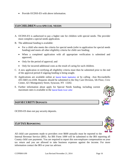Provide OCDSS-ES with above information.

# **13.0 CHILDREN WITH SPECIAL NEEDS**

- A. OCDSS-ES is authorized to pay a higher rate for children with special needs. The provider must complete a special needs application.
- B. The additional funding is available:
	- For a child who meets the criteria for special needs (refer to application for special needs funding) and meets all other eligibility criteria for child care funding;
	- When a completed application with all appropriate verification is submitted and approved;
	- Only for the period of approval; and
	- Only for incurred additional costs as the result of caring for such children.
- C. A new application re-verifying all eligibility criteria must then be submitted prior to the end of the approval period if ongoing funding is being sought.
- D. Applications are available online at [Special Needs Application](http://www.ongov.net/dss/documents/SpecialNeedsApplication.pdf) or by calling –Ann Ricciardiello 435-5683 ext.4184. Requests should be submitted to the Day Care Division, 5th Floor, Civic Center, 421 Montgomery Street, Syracuse, NY 13202.
- E. Further information about apply for Special Needs funding, including current maximum rates is available in the [Special Needs Cover Letter](http://www.ongov.net/dss/documents/SpecialNeedsCoverLetter.pdf)

# **14.0 SECURITY DEPOSITS**

OCDSS-ES does not pay security deposits.

# **15.0 TAX REPORTING**

All child care payments made to providers over \$600 annually must be reported to the Internal Revenue Service (IRS). An IRS Form 1099 will be submitted to the IRS reporting all County child care payments. You are required to report this non-employee compensation on your tax return and you are allowed to take business expenses against the income. For more information contact the IRS or your tax advisor.



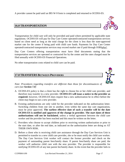A provider cannot be paid until an IRS W-9 form is completed and returned to OCDSS-ES.

# **16.0 TRANSPORTATION**

Transportation for child care will only be provided and paid where permitted by applicable state regulations. OCDSS-ES will pay for Day Care Center operated/contracted transportation services based on client need as long as the total charge for the client is less than the state-approved market rate for the center if being paid with child care funds. Payments for Day Care Center operated/contracted transportation services may exceed market rate if paid through JOBS*plus!*.

Day Care Centers offering transportation must have filed documents stating that the transportation services are operated or contracted for by the center and the rates charged must be filed annually with OCDSS-ES Financial Operations.

No other transportation costs related to child care can be paid.

# **17.0 TRANSFERS BETWEEN PROVIDERS**

*Note: Procedures regarding transfers are different than those for discontinuances of care (see Section 7.0)*

- A. OCDSS-ES policy is that a client has the right to choose his or her child care provider, and therefore may transfer to a new provider. **OCDSS-ES will issue a notice to the provider as required**; however, OCDSS-ES does require that a new authorization be in effect before the client may begin to use a new provider.
- B. Existing authorizations are only valid for the provider indicated on the authorization letter. Switching children from one site to another, even within the same day care organization, must be prior approved. **The earliest effective date of such a transfer will be the date OCDSS-ES is notified and approves of the change in provider. The start dates of these authorizations will not be backdated**, unless a verbal agreement between the child care worker and the provider has been reached and this must be written on the letter.
- C. Providers who choose to accept children prior to receiving written authorization or prior to the start date, or after the end date, as indicated on the authorization letter are doing so AT THEIR OWN RISK.
- D. Before a client who is receiving child care assistance through the Day Care Services Unit is permitted to transfer to a new child care provider, she or he must notify the child care worker. The Day Care Services Unit worker will contact the former provider and check on the payment of outstanding parent fees/family share. If parent fees/family share are paid, the worker will authorize child care with the new provider. The provider is responsible for notifying OCDSS-ES of any late parent fee/family share. In the event that the provider fails to



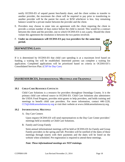notify OCDSS-ES of unpaid parent fees/family share, and the client wishes to transfer to another provider, the maximum the client will be required to pay prior to transferring to another provider will be the parent fee owed, or \$250 whichever is less. Any remaining balance would be a private matter between the provider and the client.

- E. Providers may choose to enter into an agreement with the client requiring the client to provide a certain number of days notice before the child is moved. This would be a contract between the client and the provider, one to which OCDSS-ES is not a party. Should the client violate this agreement the resolution is between the two parties involved.
- F. **Under no circumstances will OCDSS-ES pay two providers for the same time period.**

# **18.0 WAITING LISTS**

If it is determined by OCDSS-ES that child care spending is at a maximum level based on funding, a waiting list will be established. Interested parents can complete a waiting list application. Completed applications will be prioritized based on criteria in OCDSS-ES's Consolidated Services Plan. [\(CSP for Day Care](http://www.ongov.net/dss/documents/ConsolidatedServicePlan.pdf))

# **19.0 RESOURCES,INFORMATIONAL MEETINGS AND TRAININGS**

## **19.1 CHILD CARE RESOURCE CONTACTS**

Child Care Solutions is a resource for providers throughout Onondaga County. It is the primary child care referral source in OCDSS-ES. Child Care Solutions also administers the USDA Food Program, provides mini-grants to help providers, and holds training and meetings to benefit child care providers. For more information, contact 446-1220, [CCS@childcaresolutionscny.org](mailto:CCS@childcaresolutionscny.org) or visit their website at www.childcaresolutionscny.org.

#### **19.2 INFORMATIONAL MEETINGS**

A. Day Care Centers

Upon request OCDSS-ES will send representatives to the Day Care Center providers' meetings held at monthly at Child Care Solutions.

B. Family and Group Family

Semi-annual informational meetings will be held at OCDSS-ES for Family and Group Family providers in the spring and fall. Providers will be notified of the dates of these meetings through inserts with their payments and the dates will be listed on the website when scheduled. Pre-registration is required to attend these meetings.

#### *Note: These informational meetings are NOT trainings.*